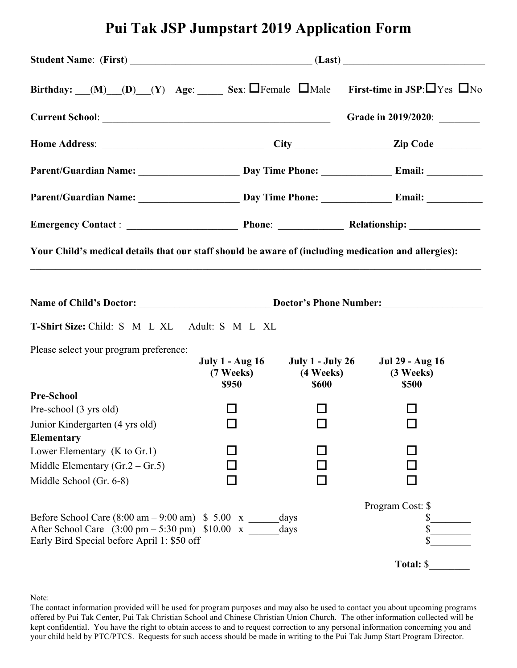# **Pui Tak JSP Jumpstart 2019 Application Form**

| Birthday: $(M)$ (D) (Y) Age: Sex: $\Box$ Female $\Box$ Male First-time in JSP: $\Box$ Yes $\Box$ No                                                                                                       |              |                                     |                                                                               |  |
|-----------------------------------------------------------------------------------------------------------------------------------------------------------------------------------------------------------|--------------|-------------------------------------|-------------------------------------------------------------------------------|--|
|                                                                                                                                                                                                           |              |                                     | Grade in 2019/2020:                                                           |  |
|                                                                                                                                                                                                           |              |                                     |                                                                               |  |
|                                                                                                                                                                                                           |              |                                     |                                                                               |  |
|                                                                                                                                                                                                           |              |                                     |                                                                               |  |
|                                                                                                                                                                                                           |              |                                     |                                                                               |  |
| Your Child's medical details that our staff should be aware of (including medication and allergies):                                                                                                      |              |                                     |                                                                               |  |
|                                                                                                                                                                                                           |              |                                     |                                                                               |  |
| T-Shirt Size: Child: S M L XL Adult: S M L XL                                                                                                                                                             |              |                                     |                                                                               |  |
| Please select your program preference:                                                                                                                                                                    | <b>\$950</b> | (7 Weeks) (4 Weeks)<br><b>\$600</b> | July 1 - Aug 16 July 1 - July 26 Jul 29 - Aug 16<br>(3 Weeks)<br><b>\$500</b> |  |
| <b>Pre-School</b>                                                                                                                                                                                         |              |                                     |                                                                               |  |
| Pre-school (3 yrs old)                                                                                                                                                                                    |              |                                     |                                                                               |  |
| Junior Kindergarten (4 yrs old)                                                                                                                                                                           |              | $\Box$                              | $\Box$                                                                        |  |
| Elementary<br>Lower Elementary $(K to Gr.1)$                                                                                                                                                              |              |                                     |                                                                               |  |
| Middle Elementary $(Gr.2 - Gr.5)$                                                                                                                                                                         |              |                                     |                                                                               |  |
| Middle School (Gr. 6-8)                                                                                                                                                                                   |              |                                     |                                                                               |  |
|                                                                                                                                                                                                           |              |                                     | Program Cost: \$                                                              |  |
| Before School Care $(8.00 \text{ am} - 9.00 \text{ am})$ \$ 5.00 x _______ days<br>After School Care $(3.00 \text{ pm} - 5.30 \text{ pm})$ \$10.00 x _____<br>Early Bird Special before April 1: \$50 off |              | days                                | \$<br>\$                                                                      |  |
|                                                                                                                                                                                                           |              |                                     | Total: \$                                                                     |  |

Note:

The contact information provided will be used for program purposes and may also be used to contact you about upcoming programs offered by Pui Tak Center, Pui Tak Christian School and Chinese Christian Union Church. The other information collected will be kept confidential. You have the right to obtain access to and to request correction to any personal information concerning you and your child held by PTC/PTCS. Requests for such access should be made in writing to the Pui Tak Jump Start Program Director.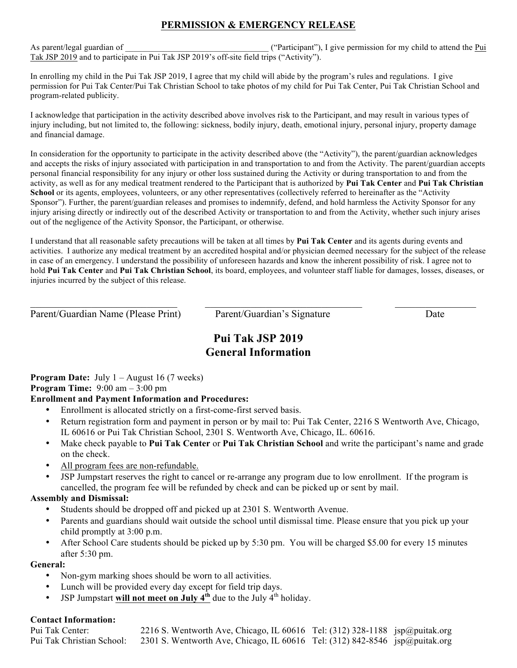# **PERMISSION & EMERGENCY RELEASE**

As parent/legal guardian of  $\Box$  ("Participant"), I give permission for my child to attend the Pui Tak JSP 2019 and to participate in Pui Tak JSP 2019's off-site field trips ("Activity").

In enrolling my child in the Pui Tak JSP 2019, I agree that my child will abide by the program's rules and regulations. I give permission for Pui Tak Center/Pui Tak Christian School to take photos of my child for Pui Tak Center, Pui Tak Christian School and program-related publicity.

I acknowledge that participation in the activity described above involves risk to the Participant, and may result in various types of injury including, but not limited to, the following: sickness, bodily injury, death, emotional injury, personal injury, property damage and financial damage.

In consideration for the opportunity to participate in the activity described above (the "Activity"), the parent/guardian acknowledges and accepts the risks of injury associated with participation in and transportation to and from the Activity. The parent/guardian accepts personal financial responsibility for any injury or other loss sustained during the Activity or during transportation to and from the activity, as well as for any medical treatment rendered to the Participant that is authorized by **Pui Tak Center** and **Pui Tak Christian School** or its agents, employees, volunteers, or any other representatives (collectively referred to hereinafter as the "Activity") Sponsor"). Further, the parent/guardian releases and promises to indemnify, defend, and hold harmless the Activity Sponsor for any injury arising directly or indirectly out of the described Activity or transportation to and from the Activity, whether such injury arises out of the negligence of the Activity Sponsor, the Participant, or otherwise.

I understand that all reasonable safety precautions will be taken at all times by **Pui Tak Center** and its agents during events and activities. I authorize any medical treatment by an accredited hospital and/or physician deemed necessary for the subject of the release in case of an emergency. I understand the possibility of unforeseen hazards and know the inherent possibility of risk. I agree not to hold **Pui Tak Center** and **Pui Tak Christian School**, its board, employees, and volunteer staff liable for damages, losses, diseases, or injuries incurred by the subject of this release.

Parent/Guardian Name (Please Print) Parent/Guardian's Signature Date

# **Pui Tak JSP 2019 General Information**

 $\_$  , and the contribution of the contribution of the contribution of the contribution of  $\_$  ,  $\_$  ,  $\_$  ,  $\_$  ,  $\_$  ,  $\_$  ,  $\_$  ,  $\_$  ,  $\_$  ,  $\_$  ,  $\_$  ,  $\_$  ,  $\_$  ,  $\_$  ,  $\_$  ,  $\_$  ,  $\_$  ,  $\_$  ,  $\_$  ,  $\_$  ,  $\_$  ,  $\_$  ,

**Program Date:** July 1 – August 16 (7 weeks) **Program Time:** 9:00 am – 3:00 pm

## **Enrollment and Payment Information and Procedures:**

- Enrollment is allocated strictly on a first-come-first served basis.
- Return registration form and payment in person or by mail to: Pui Tak Center, 2216 S Wentworth Ave, Chicago, IL 60616 or Pui Tak Christian School, 2301 S. Wentworth Ave, Chicago, IL. 60616.
- Make check payable to **Pui Tak Center** or **Pui Tak Christian School** and write the participant's name and grade on the check.
- All program fees are non-refundable.
- JSP Jumpstart reserves the right to cancel or re-arrange any program due to low enrollment. If the program is cancelled, the program fee will be refunded by check and can be picked up or sent by mail.

## **Assembly and Dismissal:**

- Students should be dropped off and picked up at 2301 S. Wentworth Avenue.
- Parents and guardians should wait outside the school until dismissal time. Please ensure that you pick up your child promptly at 3:00 p.m.
- After School Care students should be picked up by 5:30 pm. You will be charged \$5.00 for every 15 minutes after 5:30 pm.

## **General:**

- Non-gym marking shoes should be worn to all activities.
- Lunch will be provided every day except for field trip days.
- JSP Jumpstart will not meet on July  $4<sup>th</sup>$  due to the July  $4<sup>th</sup>$  holiday.

## **Contact Information:**

| Pui Tak Center:           | 2216 S. Wentworth Ave, Chicago, IL 60616 Tel: $(312)$ 328-1188 jsp@puitak.org |  |
|---------------------------|-------------------------------------------------------------------------------|--|
| Pui Tak Christian School: | 2301 S. Wentworth Ave, Chicago, IL 60616 Tel: $(312)$ 842-8546 jsp@puitak.org |  |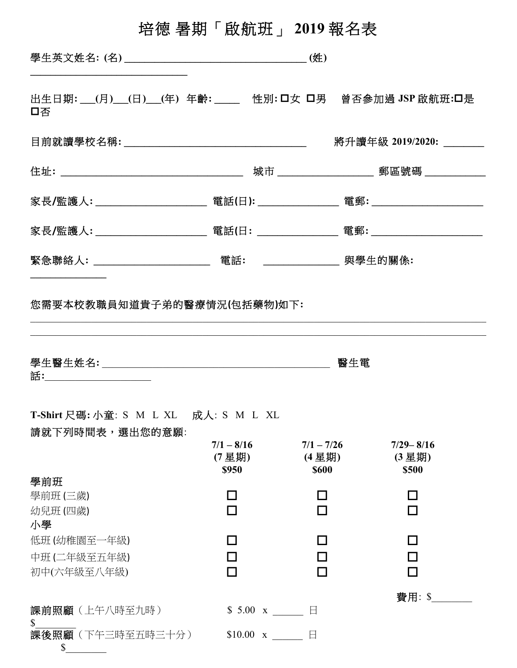# 培德暑期「啟航班」2019報名表

| 學生英文姓名: (名) |  | . <del>HL</del> |
|-------------|--|-----------------|
|             |  |                 |

出生日期: (月) (日) (年) 年齡: | 管別: ロ女 ロ男 曾否參加過 JSP 啟航班:ロ是 口否

| 目前就讀學校名稱:__________________________________ |                                            | 將升讀年級 2019/2020: |  |
|---------------------------------------------|--------------------------------------------|------------------|--|
|                                             | 城市 __________________                      | 郵區號碼 ___________ |  |
|                                             |                                            |                  |  |
|                                             |                                            |                  |  |
| 緊急聯絡人: ______________________               | 電話:<br><u> 1990 - Jan Barbara Barat, p</u> | 與學生的關係:          |  |

您需要本校教職員知道貴子弟的醫療情況(包括藥物)如下:

| 學生醫生姓名:_______________________<br>話: コンピューティックス こうしゃく こうしゃくん こうしゃく こうしゃくん こうしゃくん こうしゃ |                                                            | 醫生電                                    |                                 |
|---------------------------------------------------------------------------------------|------------------------------------------------------------|----------------------------------------|---------------------------------|
| T-Shirt 尺碼: 小童: S M L XL 成人: S M L XL<br>請就下列時間表,選出您的意願:                              | $7/1 - 8/16$<br>(7 星期)<br>\$950                            | $7/1 - 7/26$<br>(4 星期)<br><b>\$600</b> | $7/29 - 8/16$<br>(3星期)<br>\$500 |
| 學前班<br>學前班 (三歲)<br>幼兒班(四歲)<br>小學                                                      |                                                            |                                        |                                 |
| 低班 (幼稚園至一年級)<br>中班 (二年級至五年級)<br>初中(六年級至八年級)                                           |                                                            |                                        | $\Box$                          |
| 課前照顧(上午八時至九時)<br>S<br>課後照顧(下午三時至五時三十分)<br>$\mathbb{S}$                                | $$5.00 \text{ x} \qquad \qquad \Box$<br>$$10.00 \text{ x}$ | $\boxminus$                            | 費用: \$                          |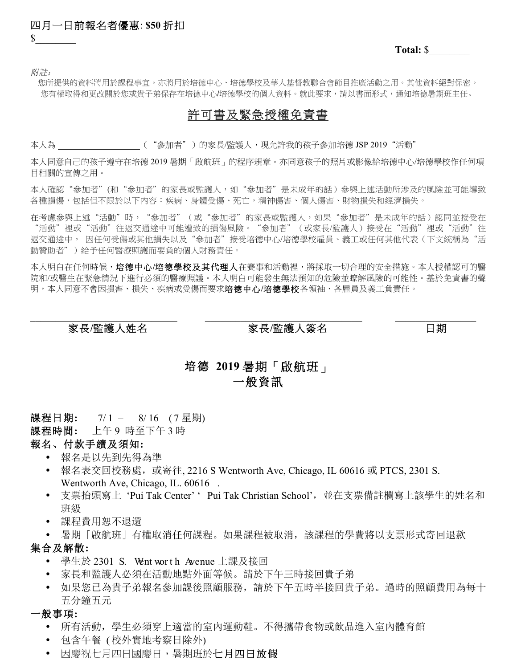四月一日前報名者優惠: **\$50** 折扣  $\mathbb{S}^-$ 

**Total:** \$\_\_\_\_\_\_\_\_

附註:

您所提供的資料將用於課程事宜。亦將用於培德中心、培徳學校及華人基督教聯合會節目推廣活動之用。其他資料絕對保密。 您有權取得和更改關於您或貴子弟保存在培德中心/培德學校的個人資料。就此要求,請以書面形式,通知培德暑期班主任。

## 許可書及緊急授權免責書

本人為 \_\_\_\_\_\_\_\_\_\_\_\_\_\_\_\_\_\_\_\_\_\_("參加者")的家長/監護人,現允許我的孩子參加培德 JSP 2019"活動"

本人同意自己的孩子遵守在培德 2019 暑期「啟航班」的程序規章。亦同意孩子的照片或影像給培德中心/培德學校作任何項 目相關的宣傳之用。

本人確認"參加者"(和"參加者"的家長或監護人,如"參加者"是未成年的話)參與上述活動所涉及的風險並可能導致 各種損傷,包括但不限於以下內容:疾病、身體受傷、死亡,精神傷害、個人傷害、財物損失和經濟損失。

在考慮參與上述"活動"時,"參加者"(或"參加者"的家長或監護人,如果"參加者"是未成年的話)認同並接受在 "活動"裡或"活動"往返交通途中可能遭致的損傷風險。"參加者"(或家長/監護人)接受在"活動"裡或"活動"往 返交通途中, 因任何受傷或其他損失以及"參加者"接受培德中心/培德學校雇員、義工或任何其他代表(下文統稱為"活 動贊助者")給予任何醫療照護而要負的個人財務責任。

本人明白在任何時候,培德中心**/**培德學校及其代理人在賽事和活動裡,將採取一切合理的安全措施。本人授權認可的醫 院和/或醫生在緊急情況下進行必須的醫療照護。本人明白可能發生無法預知的危險並瞭解風險的可能性。基於免責書的聲 明,本人同意不會因損害、損失、疾病或受傷而要求培德中心**/**培德學校各領袖、各雇員及義工負責任。

 $\mathcal{L}_\mathcal{L} = \{ \mathcal{L}_\mathcal{L} = \{ \mathcal{L}_\mathcal{L} = \{ \mathcal{L}_\mathcal{L} = \{ \mathcal{L}_\mathcal{L} = \{ \mathcal{L}_\mathcal{L} = \{ \mathcal{L}_\mathcal{L} = \{ \mathcal{L}_\mathcal{L} = \{ \mathcal{L}_\mathcal{L} = \{ \mathcal{L}_\mathcal{L} = \{ \mathcal{L}_\mathcal{L} = \{ \mathcal{L}_\mathcal{L} = \{ \mathcal{L}_\mathcal{L} = \{ \mathcal{L}_\mathcal{L} = \{ \mathcal{L}_\mathcal{$ 

#### 家長**/**監護人姓名 家長**/**監護人簽名日期

# 培德 **2019** 暑期「啟航班」 一般資訊

課程日期: 7/1 - 8/16 (7 星期)

課程時間**:** 上午 9 時至下午 3 時

#### 報名、付款手續及須知**:**

- 報名是以先到先得為準
- 報名表交回校務處,或寄往, 2216 S Wentworth Ave, Chicago, IL 60616 或 PTCS, 2301 S. Wentworth Ave, Chicago, IL. 60616.
- 支票抬頭寫上 'Pui Tak Center' ' Pui Tak Christian School', 並在支票備註欄寫上該學生的姓名和 班級
- 課程費用恕不退還
- 暑期「啟航班」有權取消任何課程。如果課程被取消,該課程的學費將以支票形式寄回退款

## 集合及解散**:**

- 學生於 2301 S. Went worth Avenue 上課及接回
- 家長和監護人必須在活動地點外面等候。請於下午三時接回貴子弟
- 如果您已為貴子弟報名參加課後照顧服務,請於下午五時半接回貴子弟。過時的照顧費用為每十 五分鐘五元

#### 一般事項**:**

- 所有活動,學生必須穿上適當的室內運動鞋。不得攜帶食物或飲品進入室內體育館
- 包含午餐 ( 校外實地考察日除外)
- 因慶祝七月四日國慶日,暑期班於七月四日放假